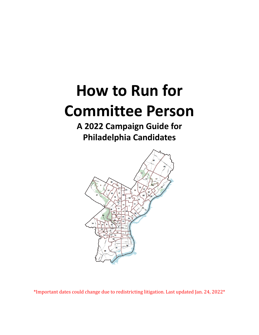# **How to Run for Committee Person**

## **A 2022 Campaign Guide for Philadelphia Candidates**



\*Important dates could change due to redistricting litigation. Last updated Jan. 24, 2022\*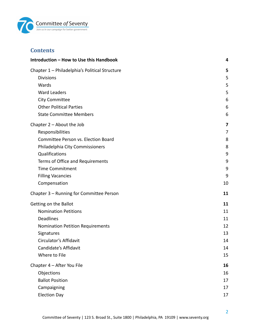

## **Contents**

| Introduction - How to Use this Handbook        |    |
|------------------------------------------------|----|
| Chapter 1 - Philadelphia's Political Structure | 5  |
| <b>Divisions</b>                               | 5  |
| Wards                                          | 5  |
| <b>Ward Leaders</b>                            | 5  |
| <b>City Committee</b>                          | 6  |
| <b>Other Political Parties</b>                 | 6  |
| <b>State Committee Members</b>                 | 6  |
| Chapter $2 -$ About the Job                    | 7  |
| Responsibilities                               | 7  |
| Committee Person vs. Election Board            | 8  |
| Philadelphia City Commissioners                | 8  |
| Qualifications                                 | 9  |
| Terms of Office and Requirements               | 9  |
| <b>Time Commitment</b>                         | 9  |
| <b>Filling Vacancies</b>                       | 9  |
| Compensation                                   | 10 |
| Chapter 3 - Running for Committee Person       | 11 |
| Getting on the Ballot                          | 11 |
| <b>Nomination Petitions</b>                    | 11 |
| <b>Deadlines</b>                               | 11 |
| <b>Nomination Petition Requirements</b>        | 12 |
| Signatures                                     | 13 |
| Circulator's Affidavit                         | 14 |
| Candidate's Affidavit                          | 14 |
| Where to File                                  | 15 |
| Chapter 4 - After You File                     | 16 |
| Objections                                     | 16 |
| <b>Ballot Position</b>                         | 17 |
| Campaigning                                    | 17 |
| <b>Election Day</b>                            | 17 |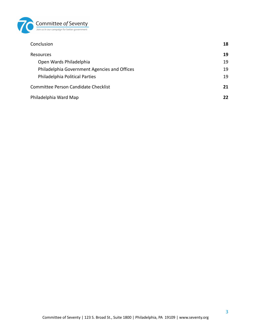

| Conclusion                                   | 18 |
|----------------------------------------------|----|
| <b>Resources</b>                             | 19 |
| Open Wards Philadelphia                      | 19 |
| Philadelphia Government Agencies and Offices | 19 |
| Philadelphia Political Parties               | 19 |
| Committee Person Candidate Checklist         | 21 |
| Philadelphia Ward Map                        | 22 |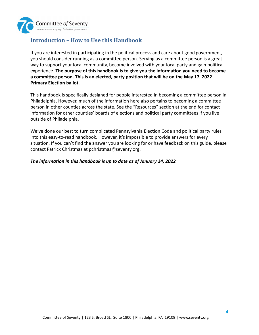

## <span id="page-3-0"></span>**Introduction – How to Use this Handbook**

If you are interested in participating in the political process and care about good government, you should consider running as a committee person. Serving as a committee person is a great way to support your local community, become involved with your local party and gain political experience. **The purpose of this handbook is to give you the information you need to become a committee person. This is an elected, party position that will be on the May 17, 2022 Primary Election ballot.**

This handbook is specifically designed for people interested in becoming a committee person in Philadelphia. However, much of the information here also pertains to becoming a committee person in other counties across the state. See the "Resources" section at the end for contact information for other counties' boards of elections and political party committees if you live outside of Philadelphia.

We've done our best to turn complicated Pennsylvania Election Code and political party rules into this easy-to-read handbook. However, it's impossible to provide answers for every situation. If you can't find the answer you are looking for or have feedback on this guide, please contact Patrick Christmas at pchristmas@seventy.org.

#### *The information in this handbook is up to date as of January 24, 2022*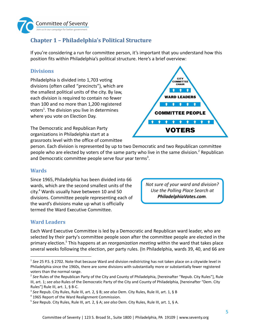

## <span id="page-4-0"></span>**Chapter 1 – Philadelphia's Political Structure**

If you're considering a run for committee person, it's important that you understand how this position fits within Philadelphia's political structure. Here's a brief overview:

#### <span id="page-4-1"></span>**Divisions**

Philadelphia is divided into 1,703 voting divisions (often called "precincts"), which are the smallest political units of the city. By law, each division is required to contain no fewer than 100 and no more than 1,200 registered voters<sup>1</sup>. The division you live in determines where you vote on Election Day.

The Democratic and Republican Party organizations in Philadelphia start at a grassroots level with the office of committee



person. Each division is represented by up to two Democratic and two Republican committee people who are elected by voters of the same party who live in the same division.<sup>2</sup> Republican and Democratic committee people serve four year terms<sup>3</sup>.

#### <span id="page-4-2"></span>**Wards**

Since 1965, Philadelphia has been divided into 66 wards, which are the second smallest units of the city. $4$  Wards usually have between 10 and 50 divisions. Committee people representing each of the ward's divisions make up what is officially termed the Ward Executive Committee.

Not sure of your ward and division? Use the Polling Place Search at PhiladelphiaVotes.com.

## <span id="page-4-3"></span>**Ward Leaders**

Each Ward Executive Committee is led by a Democratic and Republican ward leader, who are selected by their party's committee people soon after the committee people are elected in the primary election.<sup>5</sup> This happens at an *reorganization meeting* within the ward that takes place several weeks following the election, per party rules. (In Philadelphia, wards 39, 40, and 66 are

<sup>&</sup>lt;sup>1</sup> See 25 P.S. § 2702. Note that because Ward and division redistricting has not taken place on a citywide level in Philadelphia since the 1960s, there are some divisions with substantially more or substantially fewer registered voters than the normal range.

<sup>2</sup> *See* Rules of the Republican Party of the City and County of Philadelphia, [hereinafter "Repub. City Rules"], Rule III, art. 1; *see also* Rules of the Democratic Party of the City and County of Philadelphia, [hereinafter "Dem. City Rules"] Rule III, art. 1, § B-C.

<sup>3</sup> *See* Repub. City Rules, Rule III, art. 2, § B; *see also* Dem. City Rules, Rule III, art. 1, § B

<sup>&</sup>lt;sup>4</sup> 1965 Report of the Ward Realignment Commission.

<sup>5</sup> *See* Repub. City Rules, Rule III, art. 2, § A; *see also* Dem. City Rules, Rule III, art. 1, § A.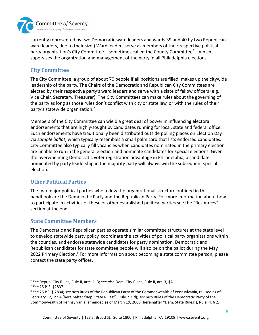

currently represented by two Democratic ward leaders and wards 39 and 40 by two Republican ward leaders, due to their size.) Ward leaders serve as members of their respective political party organization's City Committee – sometimes called the County Committee<sup>6</sup> – which supervises the organization and management of the party in all Philadelphia elections.

## <span id="page-5-0"></span>**City Committee**

The City Committee, a group of about 70 people if all positions are filled, makes up the citywide leadership of the party. The Chairs of the Democratic and Republican City Committees are elected by their respective party's ward leaders and serve with a slate of fellow officers (e.g., Vice Chair, Secretary, Treasurer). The City Committees can make rules about the governing of the party as long as those rules don't conflict with city or state law, or with the rules of their party's statewide organization.<sup>7</sup>

Members of the City Committee can wield a great deal of power in influencing electoral endorsements that are highly-sought by candidates running for local, state and federal office. Such endorsements have traditionally been distributed outside polling places on Election Day via *sample ballot*, which typically resembles a small palm card that lists endorsed candidates. City Committee also typically fill vacancies when candidates nominated in the primary election are unable to run in the general election and nominate candidates for special elections. Given the overwhelming Democratic voter registration advantage in Philadelphia, a candidate nominated by party leadership in the majority party will always win the subsequent special election.

## <span id="page-5-1"></span>**Other Political Parties**

The two major political parties who follow the organizational structure outlined in this handbook are the Democratic Party and the Republican Party. For more information about how to participate in activities of these or other established political parties see the "Resources" section at the end.

## <span id="page-5-2"></span>**State Committee Members**

The Democratic and Republican parties operate similar committee structures at the state level to develop statewide party policy, coordinate the activities of political party organizations within the counties, and endorse statewide candidates for party nomination. Democratic and Republican candidates for state committee people will also be on the ballot during the May 2022 Primary Election.<sup>8</sup> For more information about becoming a state committee person, please contact the state party offices.

<sup>6</sup> *See* Repub. City Rules, Rule II, arts. 1, 3; *see also* Dem. City Rules, Rule II, art. 3, §A.

<sup>7</sup> *See* 25 P. S. §2837.

<sup>8</sup> *See* 25 P.S. § 2834; *see also* Rules of the Republican Party of the Commonwealth of Pennsylvania, revised as of February 12, 1994 [hereinafter "Rep. State Rules"], Rule 2.3(d); *see also* Rules of the Democratic Party of the Commonwealth of Pennsylvania, amended as of March 19, 2005 [hereinafter "Dem. State Rules"], Rule III, § 2.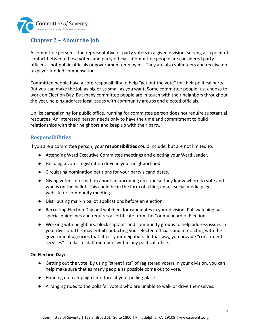

## <span id="page-6-0"></span>**Chapter 2 – About the Job**

A committee person is the representative of party voters in a given division, serving as a point of contact between those voters and party officials. Committee people are considered party officers – not public officials or government employees. They are also volunteers and receive no taxpayer-funded compensation.

Committee people have a core responsibility to help "get out the vote" for their political party. But you can make the job as big or as small as you want. Some committee people just choose to work on Election Day. But many committee people are in touch with their neighbors throughout the year, helping address local issues with community groups and elected officials.

Unlike campaigning for public office, running for committee person does not require substantial resources. An interested person needs only to have the time and commitment to build relationships with their neighbors and keep up with their party.

#### <span id="page-6-1"></span>**Responsibilities**

If you are a committee person, your **responsibilities** could include, but are not limited to:

- Attending Ward Executive Committee meetings and electing your Ward Leader.
- Heading a voter registration drive in your neighborhood.
- Circulating nomination petitions for your party's candidates.
- Giving voters information about an upcoming election so they know where to vote and who is on the ballot. This could be in the form of a flier, email, social media page, website or community meeting.
- Distributing mail-in ballot applications before an election.
- Recruiting Election Day poll watchers for candidates in your division. Poll watching has special guidelines and requires a certificate from the County board of Elections.
- Working with neighbors, block captains and community groups to help address issues in your division. This may entail contacting your elected officials and interacting with the government agencies that affect your neighbors. In that way, you provide "constituent services" similar to staff members within any political office.

#### **On Election Day:**

- Getting out the vote. By using "street lists" of registered voters in your division, you can help make sure that as many people as possible come out to vote.
- Handing out campaign literature at your polling place.
- Arranging rides to the polls for voters who are unable to walk or drive themselves.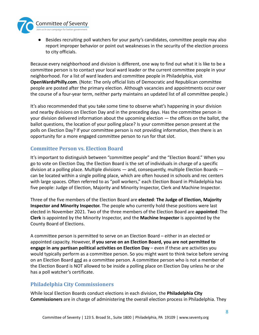

● Besides recruiting poll watchers for your party's candidates, committee people may also report improper behavior or point out weaknesses in the security of the election process to city officials.

Because every neighborhood and division is different, one way to find out what it is like to be a committee person is to contact your local ward leader or the current committee people in your neighborhood. For a list of ward leaders and committee people in Philadelphia, visit **OpenWardsPhilly.com**. (Note: The only official lists of Democratic and Republican committee people are posted after the primary election. Although vacancies and appointments occur over the course of a four-year term, neither party maintains an updated list of all committee people.)

It's also recommended that you take some time to observe what's happening in your division and nearby divisions on Election Day and in the preceding days. Has the committee person in your division delivered information about the upcoming election — the offices on the ballot, the ballot questions, the location of your polling place? Is your committee person present at the polls on Election Day? If your committee person is not providing information, then there is an opportunity for a more engaged committee person to run for that slot.

#### <span id="page-7-0"></span>**Committee Person vs. Election Board**

It's important to distinguish between "committee people" and the "Election Board." When you go to vote on Election Day, the Election Board is the set of individuals in charge of a specific division at a polling place. Multiple divisions — and, consequently, multiple Election Boards can be located within a single polling place, which are often housed in schools and rec centers with large spaces. Often referred to as "poll workers," each Election Board in Philadelphia has five people: Judge of Election, Majority and Minority Inspector, Clerk and Machine Inspector.

Three of the five members of the Election Board are **elected**: **The Judge of Election, Majority Inspector and Minority Inspector.** The people who currently hold these positions were last elected in November 2021. Two of the three members of the Election Board are **appointed**: The **Clerk** is appointed by the Minority Inspector, and the **Machine Inspector** is appointed by the County Board of Elections.

A committee person is permitted to serve on an Election Board – either in an elected or appointed capacity. However, **if you serve on an Election Board, you are not permitted to engage in any partisan political activities on Election Day** – even if these are activities you would typically perform as a committee person. So you might want to think twice before serving on an Election Board and as a committee person. A committee person who is not a member of the Election Board is NOT allowed to be inside a polling place on Election Day unless he or she has a poll watcher's certificate.

## <span id="page-7-1"></span>**Philadelphia City Commissioners**

While local Election Boards conduct elections in each division, the **Philadelphia City Commissioners** are in charge of administering the overall election process in Philadelphia. They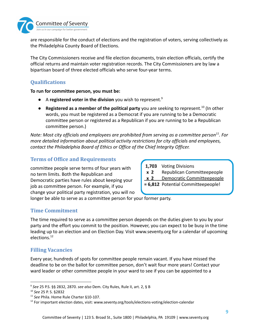

are responsible for the conduct of elections and the registration of voters, serving collectively as the Philadelphia County Board of Elections.

The City Commissioners receive and file election documents, train election officials, certify the official returns and maintain voter registration records. The City Commissioners are by law a bipartisan board of three elected officials who serve four-year terms.

## <span id="page-8-0"></span>**Qualifications**

**To run for committee person, you must be:**

- A **registered voter in the division** you wish to represent.<sup>9</sup>
- **Registered as a member of the political party** you are seeking to represent.<sup>10</sup> (In other words, you must be registered as a Democrat if you are running to be a Democratic committee person or registered as a Republican if you are running to be a Republican committee person.)

*Note: Most city officials and employees are prohibited from serving as a committee person*<sup>11</sup>. For *more detailed information about political activity restrictions for city officials and employees, contact the Philadelphia Board of Ethics or Office of the Chief Integrity Officer.*

## <span id="page-8-1"></span>**Terms of Office and Requirements**

committee people serve terms of four years with no term limits. Both the Republican and Democratic parties have rules about keeping your job as committee person. For example, if you change your political party registration, you will no 1,703 Voting Divisions

 $x<sub>2</sub>$ Republican Committeepeople

Democratic Committeepeople  $x<sub>2</sub>$ 

= 6,812 Potential Committeepeople!

longer be able to serve as a committee person for your former party.

## <span id="page-8-2"></span>**Time Commitment**

The time required to serve as a committee person depends on the duties given to you by your party and the effort you commit to the position. However, you can expect to be busy in the time leading up to an election and on Election Day. Visit www.seventy.org for a calendar of upcoming elections.<sup>12</sup>

## <span id="page-8-3"></span>**Filling Vacancies**

Every year, hundreds of spots for committee people remain vacant. If you have missed the deadline to be on the ballot for committee person, don't wait four more years! Contact your ward leader or other committee people in your ward to see if you can be appointed to a

<sup>9</sup> *See* 25 P.S. §§ 2832, 2870. *see also* Dem. City Rules, Rule II, art. 2, § B

<sup>10</sup> *See* 25 P. S. §2832

<sup>11</sup> *See* Phila. Home Rule Charter §10-107.

 $12$  For important election dates, visit: www.seventy.org/tools/elections-voting/election-calendar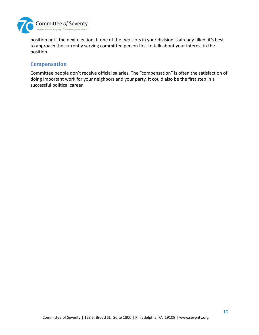

position until the next election. If one of the two slots in your division is already filled, it's best to approach the currently serving committee person first to talk about your interest in the position.

#### <span id="page-9-0"></span>**Compensation**

Committee people don't receive official salaries. The "compensation" is often the satisfaction of doing important work for your neighbors and your party. It could also be the first step in a successful political career.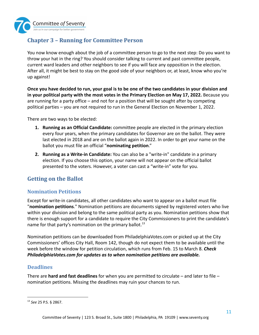

## <span id="page-10-0"></span>**Chapter 3 – Running for Committee Person**

You now know enough about the job of a committee person to go to the next step: Do you want to throw your hat in the ring? You should consider talking to current and past committee people, current ward leaders and other neighbors to see if you will face any opposition in the election. After all, it might be best to stay on the good side of your neighbors or, at least, know who you're up against!

**Once you have decided to run, your goal is to be one of the two candidates in your division and in your political party with the most votes in the Primary Election on May 17, 2022.** Because you are running for a party office – and not for a position that will be sought after by competing political parties – you are not required to run in the General Election on November 1, 2022.

There are two ways to be elected:

- **1. Running as an Official Candidate:** committee people are elected in the primary election every four years, when the primary candidates for Governor are on the ballot. They were last elected in 2018 and are on the ballot again in 2022. In order to get your name on the ballot you must file an official "**nominating petition**."
- **2. Running as a Write-in Candidate:** You can also be a "write-in" candidate in a primary election. If you choose this option, your name will not appear on the official ballot presented to the voters. However, a voter can cast a "write-in" vote for you.

## <span id="page-10-1"></span>**Getting on the Ballot**

## <span id="page-10-2"></span>**Nomination Petitions**

Except for write-in candidates, all other candidates who want to appear on a ballot must file "**nomination petitions**." Nomination petitions are documents signed by registered voters who live within your division and belong to the same political party as you. Nomination petitions show that there is enough support for a candidate to require the City Commissioners to print the candidate's name for that party's nomination on the primary ballot.<sup>13</sup>

Nomination petitions can be downloaded from PhiladelphiaVotes.com or picked up at the City Commissioners' offices City Hall, Room 142, though do not expect them to be available until the week before the window for petition circulation, which runs from Feb. 15 to March 8. *Check PhiladelphiaVotes.com for updates as to when nomination petitions are available.*

## <span id="page-10-3"></span>**Deadlines**

There are **hard and fast deadlines** for when you are permitted to circulate – and later to file – nomination petitions. Missing the deadlines may ruin your chances to run.

<sup>13</sup> *See* 25 P.S. § 2867.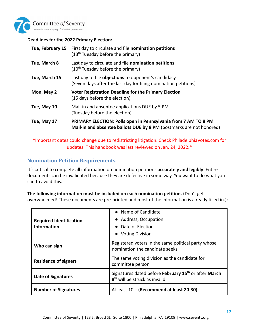

#### **Deadlines for the 2022 Primary Election:**

|               | Tue, February 15 First day to circulate and file nomination petitions<br>$(13th$ Tuesday before the primary)                                  |
|---------------|-----------------------------------------------------------------------------------------------------------------------------------------------|
| Tue, March 8  | Last day to circulate and file nomination petitions<br>$(10th$ Tuesday before the primary)                                                    |
| Tue, March 15 | Last day to file <b>objections</b> to opponent's candidacy<br>(Seven days after the last day for filing nomination petitions)                 |
| Mon, May 2    | <b>Voter Registration Deadline for the Primary Election</b><br>(15 days before the election)                                                  |
| Tue, May 10   | Mail-in and absentee applications DUE by 5 PM<br>(Tuesday before the election)                                                                |
| Tue, May 17   | <b>PRIMARY ELECTION: Polls open in Pennsylvania from 7 AM TO 8 PM</b><br>Mail-in and absentee ballots DUE by 8 PM (postmarks are not honored) |

\*Important dates could change due to redistricting litigation. Check PhiladelphiaVotes.com for updates. This handbook was last reviewed on Jan. 24, 2022.\*

## <span id="page-11-0"></span>**Nomination Petition Requirements**

It's critical to complete all information on nomination petitions **accurately and legibly**. Entire documents can be invalidated because they are defective in some way. You want to do what you can to avoid this.

#### **The following information must be included on each nomination petition.** (Don't get

overwhelmed! These documents are pre-printed and most of the information is already filled in.):

|                                                      | • Name of Candidate                                                                                           |
|------------------------------------------------------|---------------------------------------------------------------------------------------------------------------|
| <b>Required Identification</b><br><b>Information</b> | • Address, Occupation                                                                                         |
|                                                      | • Date of Election                                                                                            |
|                                                      | <b>Voting Division</b><br>$\bullet$                                                                           |
| Who can sign                                         | Registered voters in the same political party whose<br>nomination the candidate seeks                         |
| <b>Residence of signers</b>                          | The same voting division as the candidate for<br>committee person                                             |
| <b>Date of Signatures</b>                            | Signatures dated before February 15 <sup>th</sup> or after March<br>8 <sup>th</sup> will be struck as invalid |
| <b>Number of Signatures</b>                          | At least 10 - (Recommend at least 20-30)                                                                      |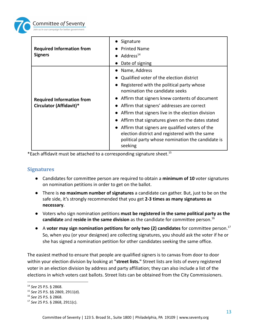

| <b>Required Information from</b><br><b>Signers</b>          | Signature                                                                                                                                                         |
|-------------------------------------------------------------|-------------------------------------------------------------------------------------------------------------------------------------------------------------------|
|                                                             | <b>Printed Name</b>                                                                                                                                               |
|                                                             | $\bullet$ Address <sup>14</sup>                                                                                                                                   |
|                                                             | Date of signing                                                                                                                                                   |
| <b>Required Information from</b><br>Circulator (Affidavit)* | Name, Address                                                                                                                                                     |
|                                                             | Qualified voter of the election district                                                                                                                          |
|                                                             | Registered with the political party whose<br>nomination the candidate seeks                                                                                       |
|                                                             | Affirm that signers knew contents of document                                                                                                                     |
|                                                             | Affirm that signers' addresses are correct                                                                                                                        |
|                                                             | Affirm that signers live in the election division                                                                                                                 |
|                                                             | Affirm that signatures given on the dates stated                                                                                                                  |
|                                                             | Affirm that signers are qualified voters of the<br>election district and registered with the same<br>political party whose nomination the candidate is<br>seeking |

\*Each affidavit must be attached to a corresponding signature sheet.<sup>15</sup>

#### <span id="page-12-0"></span>**Signatures**

- Candidates for committee person are required to obtain a **minimum of 10** voter signatures on nomination petitions in order to get on the ballot.
- There is **no maximum number of signatures** a candidate can gather. But, just to be on the safe side, it's strongly recommended that you get **2-3 times as many signatures as necessary**.
- Voters who sign nomination petitions **must be registered in the same political party as the candidate** and **reside in the same division** as the candidate for committee person.<sup>16</sup>
- A **voter may sign nomination petitions for only two (2) candidates** for committee person.<sup>17</sup> So, when you (or your designee) are collecting signatures, you should ask the voter if he or she has signed a nomination petition for other candidates seeking the same office.

The easiest method to ensure that people are qualified signers is to canvas from door to door within your election division by looking at **"street lists."** Street lists are lists of every registered voter in an election division by address and party affiliation; they can also include a list of the elections in which voters cast ballots. Street lists can be obtained from the City Commissioners.

<sup>14</sup> *See* 25 P.S. § 2868.

<sup>15</sup> *See* 25 P.S. §§ 2869, 2911(d).

<sup>16</sup> *See* 25 P.S. § 2868.

<sup>17</sup> *See* 25 P.S. § 2868, 2911(c).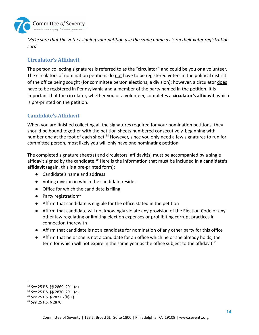

*Make sure that the voters signing your petition use the same name as is on their voter registration card.*

## <span id="page-13-0"></span>**Circulator's Affidavit**

The person collecting signatures is referred to as the "circulator" and could be you or a volunteer. The circulators of nomination petitions do not have to be registered voters in the political district of the office being sought (for committee person elections, a division); however, a circulator does have to be registered in Pennsylvania and a member of the party named in the petition. It is important that the circulator, whether you or a volunteer, completes a **circulator's affidavit**, which is pre-printed on the petition.

## <span id="page-13-1"></span>**Candidate's Affidavit**

When you are finished collecting all the signatures required for your nomination petitions, they should be bound together with the petition sheets numbered consecutively, beginning with number one at the foot of each sheet.<sup>18</sup> However, since you only need a few signatures to run for committee person, most likely you will only have one nominating petition.

The completed signature sheet(s) and circulators' affidavit(s) must be accompanied by a single affidavit signed by the candidate.<sup>19</sup> Here is the information that must be included in a **candidate's affidavit** (again, this is a pre-printed form):

- Candidate's name and address
- Voting division in which the candidate resides
- Office for which the candidate is filing
- $\bullet$  Party registration<sup>20</sup>
- Affirm that candidate is eligible for the office stated in the petition
- Affirm that candidate will not knowingly violate any provision of the Election Code or any other law regulating or limiting election expenses or prohibiting corrupt practices in connection therewith
- Affirm that candidate is not a candidate for nomination of any other party for this office
- Affirm that he or she is not a candidate for an office which he or she already holds, the term for which will not expire in the same year as the office subject to the affidavit. $^{21}$

<sup>18</sup> *See* 25 P.S. §§ 2869, 2911(d).

<sup>19</sup> *See* 25 P.S. §§ 2870, 2911(e).

<sup>20</sup> *See* 25 P.S. § 2872.2(b)(1).

<sup>21</sup> *See* 25 P.S. § 2870.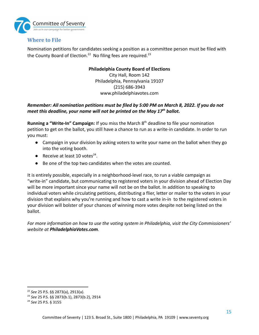

## <span id="page-14-0"></span>**Where to File**

Nomination petitions for candidates seeking a position as a committee person must be filed with the County Board of Election.<sup>22</sup> No filing fees are required.<sup>23</sup>

#### **Philadelphia County Board of Elections**

City Hall, Room 142 Philadelphia, Pennsylvania 19107 (215) 686-3943 www.philadelphiavotes.com

#### *Remember: All nomination petitions must be filed by 5:00 PM on March 8, 2022. If you do not meet this deadline, your name will not be printed on the May 17th ballot.*

Running a "Write-In" Campaign: If you miss the March 8<sup>th</sup> deadline to file your nomination petition to get on the ballot, you still have a chance to run as a write-in candidate. In order to run you must:

- Campaign in your division by asking voters to write your name on the ballot when they go into the voting booth.
- Receive at least 10 votes $24$ .
- Be one of the top two candidates when the votes are counted.

It is entirely possible, especially in a neighborhood-level race, to run a viable campaign as "write-in" candidate, but communicating to registered voters in your division ahead of Election Day will be more important since your name will not be on the ballot. In addition to speaking to individual voters while circulating petitions, distributing a flier, letter or mailer to the voters in your division that explains why you're running and how to cast a write in-in to the registered voters in your division will bolster of your chances of winning more votes despite not being listed on the ballot.

*For more information on how to use the voting system in Philadelphia, visit the City Commissioners' website at PhiladelphiaVotes.com.*

<sup>22</sup> *See* 25 P.S. §§ 2873(a), 2913(a).

<sup>23</sup> *See* 25 P.S. §§ 2873(b.1), 2873(b.2), 2914

<sup>24</sup> *See* 25 P.S. § 3155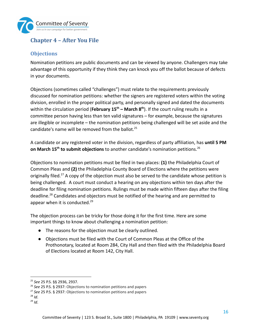

## <span id="page-15-0"></span>**Chapter 4 – After You File**

## <span id="page-15-1"></span>**Objections**

Nomination petitions are public documents and can be viewed by anyone. Challengers may take advantage of this opportunity if they think they can knock you off the ballot because of defects in your documents.

Objections (sometimes called "challenges") must relate to the requirements previously discussed for nomination petitions: whether the signers are registered voters within the voting division, enrolled in the proper political party, and personally signed and dated the documents within the circulation period (**February 15th – March 8 th** ). If the court ruling results in a committee person having less than ten valid signatures – for example, because the signatures are illegible or incomplete – the nomination petitions being challenged will be set aside and the candidate's name will be removed from the ballot.<sup>25</sup>

A candidate or any registered voter in the division, regardless of party affiliation, has **until 5 PM on March 15th to submit objections** to another candidate's nomination petitions.<sup>26</sup>

Objections to nomination petitions must be filed in two places: **(1)** the Philadelphia Court of Common Pleas and **(2)** the Philadelphia County Board of Elections where the petitions were originally filed.<sup>27</sup> A copy of the objection must also be served to the candidate whose petition is being challenged. A court must conduct a hearing on any objections within ten days after the deadline for filing nomination petitions. Rulings must be made within fifteen days after the filing deadline.<sup>28</sup> Candidates and objectors must be notified of the hearing and are permitted to appear when it is conducted.<sup>29</sup>

The objection process can be tricky for those doing it for the first time. Here are some important things to know about challenging a nomination petition:

- The reasons for the objection must be clearly outlined.
- Objections must be filed with the Court of Common Pleas at the Office of the Prothonotary, located at Room 284, City Hall and then filed with the Philadelphia Board of Elections located at Room 142, City Hall.

<sup>25</sup> *See* 25 P.S. §§ 2936, 2937.

<sup>26</sup> *See* 25 P.S. § 2937: Objections to nomination petitions and papers

<sup>27</sup> *See* 25 P.S. § 2937: Objections to nomination petitions and papers

 $^{28}$  *Id.* 

 $^{29}$  *Id.*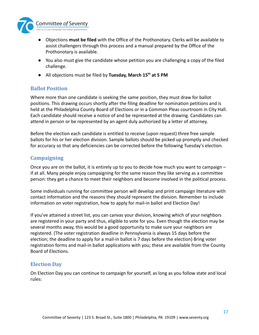

- Objections **must be filed** with the Office of the Prothonotary. Clerks will be available to assist challengers through this process and a manual prepared by the Office of the Prothonotary is available.
- You also must give the candidate whose petition you are challenging a copy of the filed challenge.
- All objections must be filed by **Tuesday, March 15th at 5 PM**

## <span id="page-16-0"></span>**Ballot Position**

Where more than one candidate is seeking the same position, they must draw for ballot positions. This drawing occurs shortly after the filing deadline for nomination petitions and is held at the Philadelphia County Board of Elections or in a Common Pleas courtroom in City Hall. Each candidate should receive a notice of and be represented at the drawing. Candidates can attend in person or be represented by an agent duly authorized by a letter of attorney.

Before the election each candidate is entitled to receive (upon request) three free sample ballots for his or her election division. Sample ballots should be picked up promptly and checked for accuracy so that any deficiencies can be corrected before the following Tuesday's election.

#### <span id="page-16-1"></span>**Campaigning**

Once you are on the ballot, it is entirely up to you to decide how much you want to campaign – if at all. Many people enjoy campaigning for the same reason they like serving as a committee person: they get a chance to meet their neighbors and become involved in the political process.

Some individuals running for committee person will develop and print campaign literature with contact information and the reasons they should represent the division. Remember to include information on voter registration, how to apply for mail-in ballot and Election Day!

If you've attained a street list, you can canvas your division, knowing which of your neighbors are registered in your party and thus, eligible to vote for you. Even though the election may be several months away, this would be a good opportunity to make sure your neighbors are registered. (The voter registration deadline in Pennsylvania is always 15 days before the election; the deadline to apply for a mail-in ballot is 7 days before the election) Bring voter registration forms and mail-in ballot applications with you; these are available from the County Board of Elections.

#### <span id="page-16-2"></span>**Election Day**

On Election Day you can continue to campaign for yourself, as long as you follow state and local rules: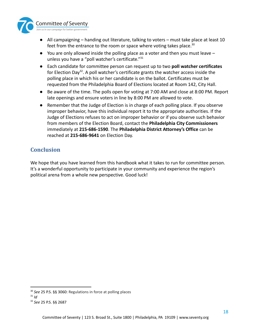

- All campaigning handing out literature, talking to voters must take place at least 10 feet from the entrance to the room or space where voting takes place. $30$
- $\bullet$  You are only allowed inside the polling place as a voter and then you must leave  $$ unless you have a "poll watcher's certificate."<sup>31</sup>
- **●** Each candidate for committee person can request up to two **poll watcher certificates** for Election Day<sup>32</sup>. A poll watcher's certificate grants the watcher access inside the polling place in which his or her candidate is on the ballot. Certificates must be requested from the Philadelphia Board of Elections located at Room 142, City Hall.
- **●** Be aware of the time. The polls open for voting at 7:00 AM and close at 8:00 PM. Report late openings and ensure voters in line by 8:00 PM are allowed to vote.
- **●** Remember that the Judge of Election is in charge of each polling place. If you observe improper behavior, have this individual report it to the appropriate authorities. If the Judge of Elections refuses to act on improper behavior or if you observe such behavior from members of the Election Board, contact the **Philadelphia City Commissioners** immediately at **215-686-1590**. The **Philadelphia District Attorney's Office** can be reached at **215-686-9641** on Election Day.

## <span id="page-17-0"></span>**Conclusion**

We hope that you have learned from this handbook what it takes to run for committee person. It's a wonderful opportunity to participate in your community and experience the region's political arena from a whole new perspective. Good luck!

<sup>30</sup> *See* 25 P.S. §§ 3060: Regulations in force at polling places

 $31$  *Id* 

<sup>32</sup> *See* 25 P.S. §§ 2687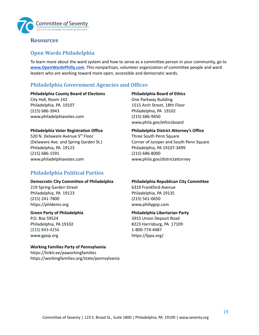

## <span id="page-18-0"></span>**Resources**

## <span id="page-18-1"></span>**Open Wards Philadelphia**

To learn more about the ward system and how to serve as a committee person in your community, go to **[www.OpenWardsPhilly.com](http://www.openwardsphilly.com)**. This nonpartisan, volunteer organization of committee people and ward leaders who are working toward more open, accessible and democratic wards.

## <span id="page-18-2"></span>**Philadelphia Government Agencies and Offices**

#### **Philadelphia County Board of Elections**

City Hall, Room 142 Philadelphia, PA 19107 (215) 686-3943 www.philadelphiavotes.com

#### **Philadelphia Voter Registration Office**

520 N. Delaware Avenue 5<sup>th</sup> Floor (Delaware Ave. and Spring Garden St.) Philadelphia, PA 19123 (215) 686-1591 www.philadelphiavotes.com

## <span id="page-18-3"></span>**Philadelphia Political Parties**

#### **Democratic City Committee of Philadelphia**

219 Spring Garden Street Philadelphia, PA 19123 (215) 241-7800 https://phldems.org

#### **Green Party of Philadelphia**

P.O. Box 59524 Philadelphia, PA 19102 (215) 843-4256 www.gpop.org

#### **Working Families Party of Pennsylvania**

https://linktr.ee/paworkingfamilies https://workingfamilies.org/state/pennsylvania

**Philadelphia Board of Ethics** One Parkway Building 1515 Arch Street, 18th Floor Philadelphia, PA 19102 (215) 686-9450 www.phila.gov/ethicsboard

#### **Philadelphia District Attorney's Office**

Three South Penn Square Corner of Juniper and South Penn Square Philadelphia, PA 19107-3499 (215) 686-8000 www.phila.gov/districtattorney

#### **Philadelphia Republican City Committee**

6319 Frankford Avenue Philadelphia, PA 19135 (215) 561-0650 www.phillygop.com

#### **Philadelphia Libertarian Party**

3915 Union Deposit Road #223 Harrisburg, PA 17109 1-800-774-4487 https://lppa.org/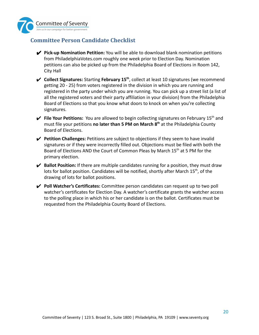

## <span id="page-19-0"></span>**Committee Person Candidate Checklist**

- ✔ **Pick-up Nomination Petition:** You will be able to download blank nomination petitions from PhiladelphiaVotes.com roughly one week prior to Election Day. Nomination petitions can also be picked up from the Philadelphia Board of Elections in Room 142, City Hall
- **►** Collect Signatures: Starting February 15<sup>th</sup>, collect at least 10 signatures (we recommend getting 20 - 25) from voters registered in the division in which you are running and registered in the party under which you are running. You can pick up a street list (a list of all the registered voters and their party affiliation in your division) from the Philadelphia Board of Elections so that you know what doors to knock on when you're collecting signatures.
- $\checkmark$  File Your Petitions: You are allowed to begin collecting signatures on February 15<sup>th</sup> and must file your petitions **no later than 5 PM on March 8 th** at the Philadelphia County Board of Elections.
- ✔ **Petition Challenges:** Petitions are subject to objections if they seem to have invalid signatures or if they were incorrectly filled out. Objections must be filed with both the Board of Elections AND the Court of Common Pleas by March 15<sup>th</sup> at 5 PM for the primary election.
- ✔ **Ballot Position:** If there are multiple candidates running for a position, they must draw lots for ballot position. Candidates will be notified, shortly after March 15<sup>th</sup>, of the drawing of lots for ballot positions.
- ✔ **Poll Watcher's Certificates:** Committee person candidates can request up to two poll watcher's certificates for Election Day. A watcher's certificate grants the watcher access to the polling place in which his or her candidate is on the ballot. Certificates must be requested from the Philadelphia County Board of Elections.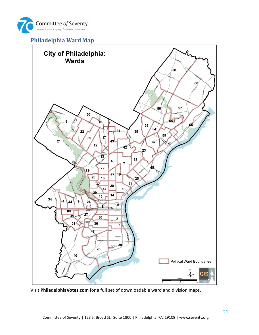

## <span id="page-20-0"></span>**Philadelphia Ward Map**



Visit **PhiladelphiaVotes.com** for a full set of downloadable ward and division maps.